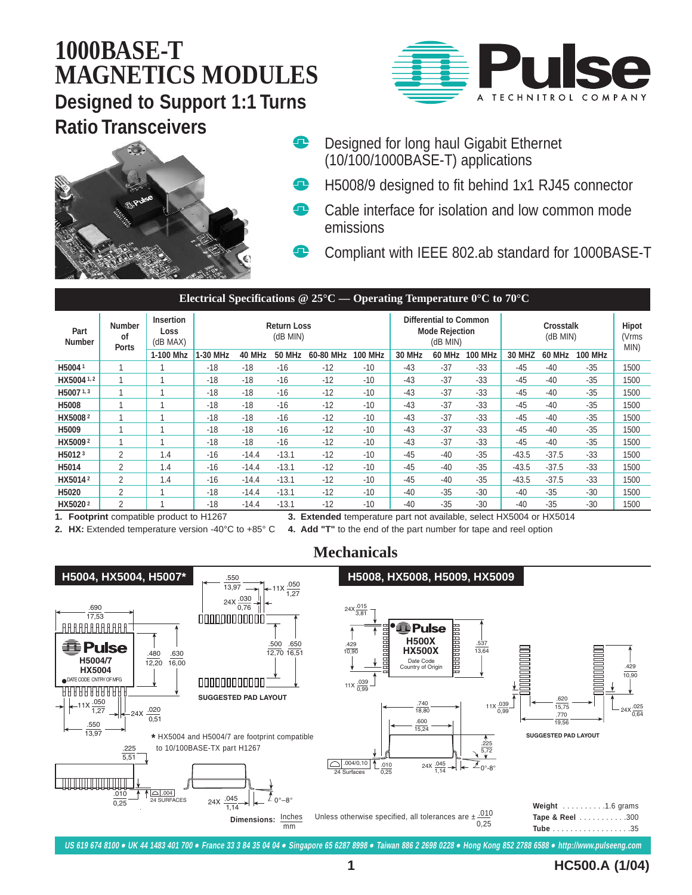### **1000BASE-T MAGNETICS MODULES Designed to Support 1:1 Turns Ratio Transceivers** Q





- Designed for long haul Gigabit Ethernet (10/100/1000BASE-T) applications
- $\bullet$ H5008/9 designed to fit behind 1x1 RJ45 connector
- œ Cable interface for isolation and low common mode emissions
	- Compliant with IEEE 802.ab standard for 1000BASE-T

#### **Electrical Specifications @ 25°C — Operating Temperature 0°C to 70°C**

| Part<br><b>Number</b> | <b>Number</b><br>0f<br><b>Ports</b> | <b>Insertion</b><br>Loss<br>(dB MAX) | <b>Return Loss</b><br>(dB MIN) |         |               |           |                | <b>Differential to Common</b><br><b>Mode Rejection</b><br>(dB MIN) |               |                | <b>Crosstalk</b><br>(dB MIN) |               |                | <b>Hipot</b><br>(Vrms<br>MIN) |
|-----------------------|-------------------------------------|--------------------------------------|--------------------------------|---------|---------------|-----------|----------------|--------------------------------------------------------------------|---------------|----------------|------------------------------|---------------|----------------|-------------------------------|
|                       |                                     | 1-100 Mhz                            | 1-30 MHz                       | 40 MHz  | <b>50 MHz</b> | 60-80 MHz | <b>100 MHz</b> | <b>30 MHz</b>                                                      | <b>60 MHz</b> | <b>100 MHz</b> | <b>30 MHZ</b>                | <b>60 MHz</b> | <b>100 MHz</b> |                               |
| H50041                |                                     |                                      | $-18$                          | $-18$   | $-16$         | $-12$     | $-10$          | $-43$                                                              | $-37$         | $-33$          | $-45$                        | $-40$         | $-35$          | 1500                          |
| HX5004 1, 2           |                                     |                                      | $-18$                          | $-18$   | $-16$         | $-12$     | $-10$          | $-43$                                                              | $-37$         | $-33$          | $-45$                        | $-40$         | $-35$          | 1500                          |
| H50071,3              |                                     |                                      | $-18$                          | $-18$   | $-16$         | $-12$     | $-10$          | $-43$                                                              | $-37$         | $-33$          | $-45$                        | $-40$         | $-35$          | 1500                          |
| H5008                 |                                     |                                      | $-18$                          | $-18$   | $-16$         | $-12$     | $-10$          | $-43$                                                              | $-37$         | $-33$          | $-45$                        | $-40$         | $-35$          | 1500                          |
| HX5008 <sup>2</sup>   |                                     |                                      | $-18$                          | $-18$   | $-16$         | $-12$     | $-10$          | $-43$                                                              | $-37$         | $-33$          | $-45$                        | $-40$         | $-35$          | 1500                          |
| H5009                 |                                     |                                      | $-18$                          | $-18$   | $-16$         | $-12$     | $-10$          | $-43$                                                              | $-37$         | $-33$          | $-45$                        | $-40$         | $-35$          | 1500                          |
| HX50092               |                                     |                                      | $-18$                          | $-18$   | $-16$         | $-12$     | $-10$          | $-43$                                                              | $-37$         | $-33$          | $-45$                        | $-40$         | $-35$          | 1500                          |
| H5012 <sup>3</sup>    | $\mathfrak{p}$                      | 1.4                                  | $-16$                          | $-14.4$ | $-13.1$       | $-12$     | $-10$          | $-45$                                                              | $-40$         | $-35$          | $-43.5$                      | $-37.5$       | $-33$          | 1500                          |
| H5014                 | $\overline{2}$                      | 1.4                                  | $-16$                          | $-14.4$ | $-13.1$       | $-12$     | $-10$          | $-45$                                                              | $-40$         | $-35$          | $-43.5$                      | $-37.5$       | $-33$          | 1500                          |
| HX50142               | 2                                   | 1.4                                  | $-16$                          | $-14.4$ | $-13.1$       | $-12$     | $-10$          | $-45$                                                              | $-40$         | $-35$          | $-43.5$                      | $-37.5$       | $-33$          | 1500                          |
| H5020                 | $\overline{2}$                      |                                      | $-18$                          | $-14.4$ | $-13.1$       | $-12$     | $-10$          | $-40$                                                              | $-35$         | $-30$          | $-40$                        | $-35$         | $-30$          | 1500                          |
| HX50202               | 2                                   |                                      | $-18$                          | $-14.4$ | $-13.1$       | $-12$     | $-10$          | $-40$                                                              | $-35$         | $-30$          | $-40$                        | $-35$         | $-30$          | 1500                          |

**1. Footprint** compatible product to H1267 **3. Extended** temperature part not available, select HX5004 or HX5014

**2. HX:** Extended temperature version -40°C to +85° C **4. Add "T"** to the end of the part number for tape and reel option

**Mechanicals**



**US 619 674 8100** ● **UK 44 1483 401 700** ● **France 33 3 84 35 04 04** ● **Singapore 65 6287 8998** ● **Taiwan 886 2 2698 0228** ● **Hong Kong 852 2788 6588** ● **http://www.pulseeng.com**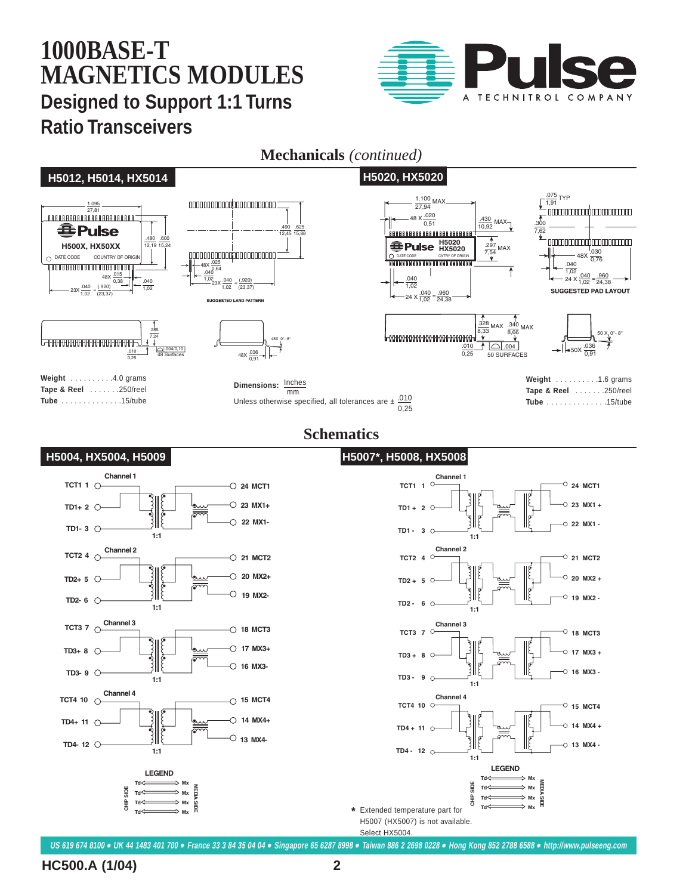# **1000BASE-T MAGNETICS MODULES Designed to Support 1:1 Turns Ratio Transceivers**



#### **H5012, H5014, HX5014 H5020, HX5020**



**Mechanicals** *(continued)*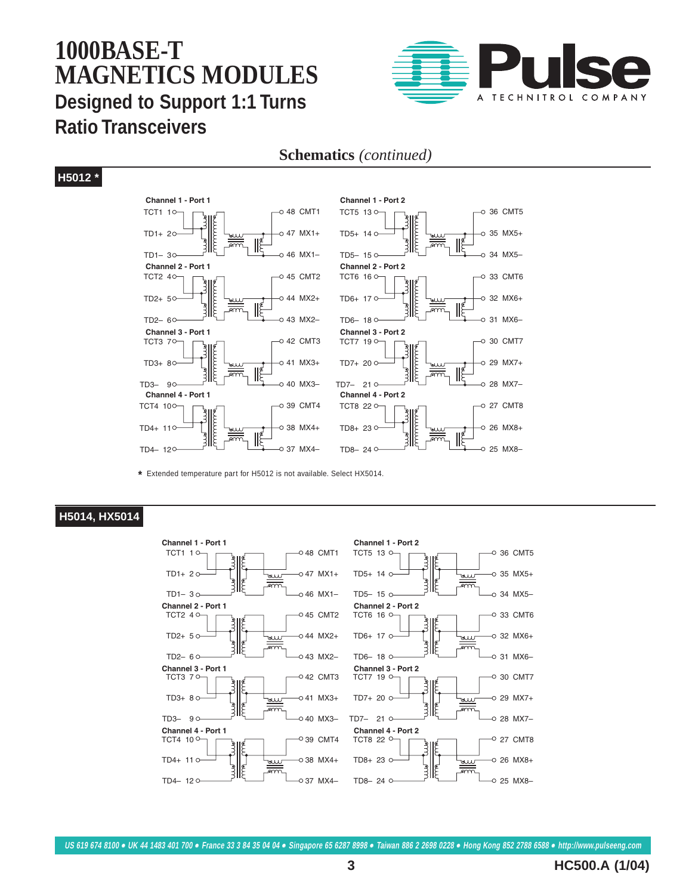### **1000BASE-T MAGNETICS MODULES Designed to Support 1:1 Turns Ratio Transceivers**



#### **Schematics** *(continued)*

#### **H5012 \***





**\*** Extended temperature part for H5012 is not available. Select HX5014.

#### **H5014, HX5014**